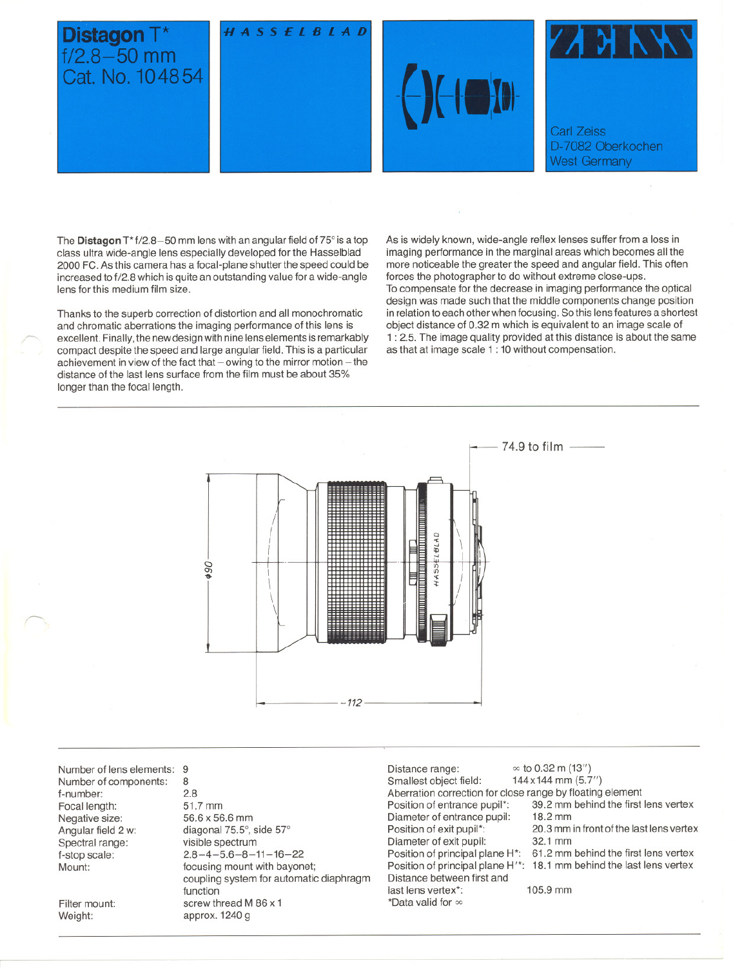

The **Distagon** T<sup>\*</sup> f/2.8-50 mm lens with an angular field of 75° is a top class ultra wide-angle lens especially developed for the Hasselblad 2000 FC. As this camera has a focal-plane shutter the speed could be increased to f/2.8 which is quite an outstanding value tor a wide-angle lens for this medium film size.

Thanks to the superb correction of distortion and all monochromatic and chromatic aberrations the imaging performance of this lens is excellent. Finally, the new design with nine lens elements is remarkably compact despite the speed and large angular fjeld. This is a particular achievement in view of the fact that - owing to the mirror motion - the distance of the last lens surface from the film must be about 35% longer than the focal length.

As is widely known, wide-angle reflex lenses suffer from a loss in imaging performance in the marginal areas which becomes all the more noticeable the greater the speed and angular fjeld. This often forces the photographer to do without extreme close-ups. To compensate tor the decrease in imaging performance the optical

design was made such that the middle components change position in relation to each other when focusing. So this lens features a shortest object distance of 0.32 m which is equivalent to an image scale of 1 : 2.5. The image quality provided at this distance is about the same as that at image scale 1 : 10 without compensation.



Number of lens elements: 9 Number of components: f-number: Focal length: Negative size: Angular field 2 w: Spectral range: f-stop scale: Mount:

Filter mount: Weight:

 $\sim$ 

8 2.8 51.7 mm 56.6 x 56.6 mm diagonal 75.5°, side 5T visible spectrum  $2.8 - 4 - 5.6 - 8 - 11 - 16 - 22$ focusing mount with bayonet; coupling system tor automatie diaphragm function screw thread M 86 x 1 approx. 1240 g

Distance range:  $\infty$  to 0.32 m (13")<br>Smallest object field:  $144 \times 144$  mm (5.7") Smallest object fjeld: 144x144 mm (5.7") Aberration correction for close range by floating element Position of entrance pupil<sup>\*</sup>: 39.2 mm behind the first lens vertex<br>Diameter of entrance pupil: 18.2 mm Diameter of entrance pupil:<br>Position of exit pupil\*: Diameter of exit pupil: 32.1 mm<br>Position of principal plane H<sup>\*</sup>: 61.2 mm behind the first lens vertex Position of principal plane H\*: Distance between first and last lens vertex\*: \*Data valid for  $\infty$ 

20.3 mm in front of the last lens vertex<br>32.1 mm

Position of principal plane H'\*: 18.1 mm behind the last lens vertex

105.9 mm